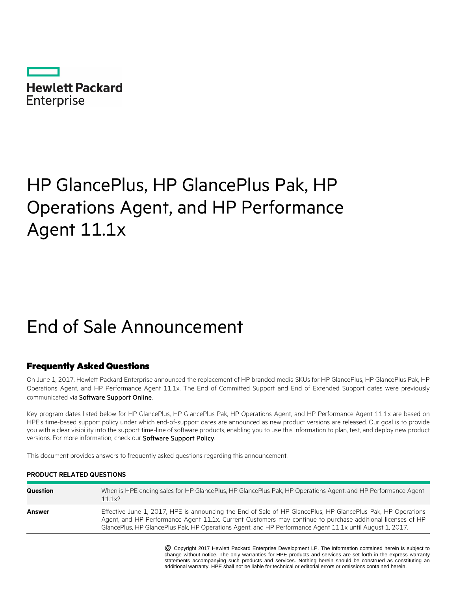**Hewlett Packard Enterprise** 

# HP GlancePlus, HP GlancePlus Pak, HP Operations Agent, and HP Performance Agent 11.1x

# End of Sale Announcement

## Frequently Asked Questions

On June 1, 2017, Hewlett Packard Enterprise announced the replacement of HP branded media SKUs for HP GlancePlus, HP GlancePlus Pak, HP Operations Agent, and HP Performance Agent 11.1x. The End of Committed Support and End of Extended Support dates were previously communicated via **Software Support Online**.

Key program dates listed below for HP GlancePlus, HP GlancePlus Pak, HP Operations Agent, and HP Performance Agent 11.1x are based on HPE's time-based support policy under which end-of-support dates are announced as new product versions are released. Our goal is to provide you with a clear visibility into the support time-line of software products, enabling you to use this information to plan, test, and deploy new product versions. For more information, check our **Software Support Policy**.

This document provides answers to frequently asked questions regarding this announcement.

### **PRODUCT RELATED QUESTIONS**

| Question | When is HPE ending sales for HP GlancePlus, HP GlancePlus Pak, HP Operations Agent, and HP Performance Agent<br>11.1x?                                                                                                                                                                                                                  |
|----------|-----------------------------------------------------------------------------------------------------------------------------------------------------------------------------------------------------------------------------------------------------------------------------------------------------------------------------------------|
| Answer   | Effective June 1, 2017, HPE is announcing the End of Sale of HP GlancePlus, HP GlancePlus Pak, HP Operations<br>Agent, and HP Performance Agent 11.1x. Current Customers may continue to purchase additional licenses of HP<br>GlancePlus, HP GlancePlus Pak, HP Operations Agent, and HP Performance Agent 11.1x until August 1, 2017. |

\* @ Copyright 2017 Hewlett Packard Enterprise Development LP. The information contained herein is subject to change without notice. The only warranties for HPE products and services are set forth in the express warranty statements accompanying such products and services. Nothing herein should be construed as constituting an additional warranty. HPE shall not be liable for technical or editorial errors or omissions contained herein.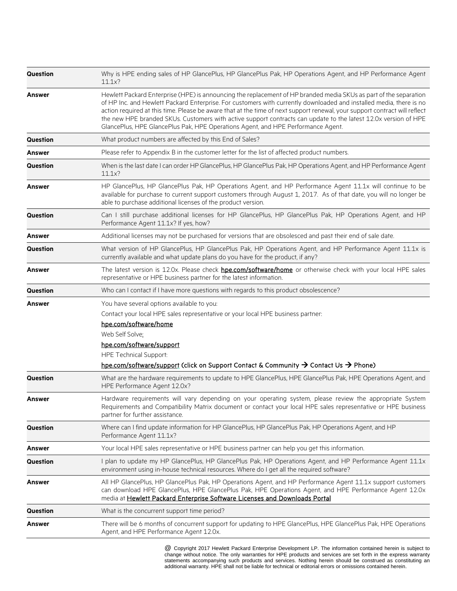| Question        | Why is HPE ending sales of HP GlancePlus, HP GlancePlus Pak, HP Operations Agent, and HP Performance Agent<br>11.1x?                                                                                                                                                                                                                                                                                                                                                                                                                                                          |
|-----------------|-------------------------------------------------------------------------------------------------------------------------------------------------------------------------------------------------------------------------------------------------------------------------------------------------------------------------------------------------------------------------------------------------------------------------------------------------------------------------------------------------------------------------------------------------------------------------------|
| <b>Answer</b>   | Hewlett Packard Enterprise (HPE) is announcing the replacement of HP branded media SKUs as part of the separation<br>of HP Inc. and Hewlett Packard Enterprise. For customers with currently downloaded and installed media, there is no<br>action required at this time. Please be aware that at the time of next support renewal, your support contract will reflect<br>the new HPE branded SKUs. Customers with active support contracts can update to the latest 12.0x version of HPE<br>GlancePlus, HPE GlancePlus Pak, HPE Operations Agent, and HPE Performance Agent. |
| <b>Question</b> | What product numbers are affected by this End of Sales?                                                                                                                                                                                                                                                                                                                                                                                                                                                                                                                       |
| Answer          | Please refer to Appendix B in the customer letter for the list of affected product numbers.                                                                                                                                                                                                                                                                                                                                                                                                                                                                                   |
| Question        | When is the last date I can order HP GlancePlus, HP GlancePlus Pak, HP Operations Agent, and HP Performance Agent<br>11.1x?                                                                                                                                                                                                                                                                                                                                                                                                                                                   |
| Answer          | HP GlancePlus, HP GlancePlus Pak, HP Operations Agent, and HP Performance Agent 11.1x will continue to be<br>available for purchase to current support customers through August 1, 2017. As of that date, you will no longer be<br>able to purchase additional licenses of the product version.                                                                                                                                                                                                                                                                               |
| <b>Question</b> | Can I still purchase additional licenses for HP GlancePlus, HP GlancePlus Pak, HP Operations Agent, and HP<br>Performance Agent 11.1x? If yes, how?                                                                                                                                                                                                                                                                                                                                                                                                                           |
| <b>Answer</b>   | Additional licenses may not be purchased for versions that are obsolesced and past their end of sale date.                                                                                                                                                                                                                                                                                                                                                                                                                                                                    |
| Question        | What version of HP GlancePlus, HP GlancePlus Pak, HP Operations Agent, and HP Performance Agent 11.1x is<br>currently available and what update plans do you have for the product, if any?                                                                                                                                                                                                                                                                                                                                                                                    |
| Answer          | The latest version is 12.0x. Please check <b>hpe.com/software/home</b> or otherwise check with your local HPE sales<br>representative or HPE business partner for the latest information.                                                                                                                                                                                                                                                                                                                                                                                     |
| <b>Question</b> | Who can I contact if I have more questions with regards to this product obsolescence?                                                                                                                                                                                                                                                                                                                                                                                                                                                                                         |
| Answer          | You have several options available to you:<br>Contact your local HPE sales representative or your local HPE business partner:<br>hpe.com/software/home<br>Web Self Solve:<br>hpe.com/software/support<br><b>HPE Technical Support:</b><br>hpe.com/software/support (click on Support Contact & Community → Contact Us → Phone)                                                                                                                                                                                                                                                |
| <b>Question</b> | What are the hardware requirements to update to HPE GlancePlus, HPE GlancePlus Pak, HPE Operations Agent, and<br>HPE Performance Agent 12.0x?                                                                                                                                                                                                                                                                                                                                                                                                                                 |
| Answer          | Hardware requirements will vary depending on your operating system, please review the appropriate System<br>Requirements and Compatibility Matrix document or contact your local HPE sales representative or HPE business<br>partner for further assistance.                                                                                                                                                                                                                                                                                                                  |
| Question        | Where can I find update information for HP GlancePlus, HP GlancePlus Pak, HP Operations Agent, and HP<br>Performance Agent 11.1x?                                                                                                                                                                                                                                                                                                                                                                                                                                             |
| Answer          | Your local HPE sales representative or HPE business partner can help you get this information.                                                                                                                                                                                                                                                                                                                                                                                                                                                                                |
| Question        | I plan to update my HP GlancePlus, HP GlancePlus Pak, HP Operations Agent, and HP Performance Agent 11.1x<br>environment using in-house technical resources. Where do I get all the required software?                                                                                                                                                                                                                                                                                                                                                                        |
| <b>Answer</b>   | All HP GlancePlus, HP GlancePlus Pak, HP Operations Agent, and HP Performance Agent 11.1x support customers<br>can download HPE GlancePlus, HPE GlancePlus Pak, HPE Operations Agent, and HPE Performance Agent 12.0x<br>media at Hewlett Packard Enterprise Software Licenses and Downloads Portal                                                                                                                                                                                                                                                                           |
| Question        | What is the concurrent support time period?                                                                                                                                                                                                                                                                                                                                                                                                                                                                                                                                   |
| Answer          | There will be 6 months of concurrent support for updating to HPE GlancePlus, HPE GlancePlus Pak, HPE Operations<br>Agent, and HPE Performance Agent 12.0x.                                                                                                                                                                                                                                                                                                                                                                                                                    |

\* @ Copyright 2017 Hewlett Packard Enterprise Development LP. The information contained herein is subject to change without notice. The only warranties for HPE products and services are set forth in the express warranty statements accompanying such products and services. Nothing herein should be construed as constituting an additional warranty. HPE shall not be liable for technical or editorial errors or omissions contained herein.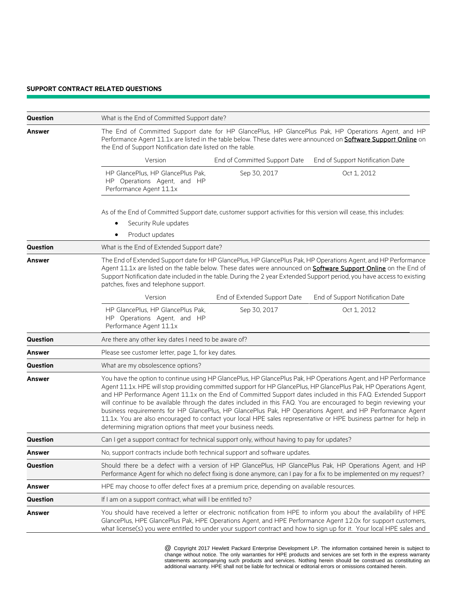#### **SUPPORT CONTRACT RELATED QUESTIONS**

| Question        | What is the End of Committed Support date?                                                                                                                                                                                                                                                                                                                                                                                                                                                                                                                                                                                                                                                                                                                                |
|-----------------|---------------------------------------------------------------------------------------------------------------------------------------------------------------------------------------------------------------------------------------------------------------------------------------------------------------------------------------------------------------------------------------------------------------------------------------------------------------------------------------------------------------------------------------------------------------------------------------------------------------------------------------------------------------------------------------------------------------------------------------------------------------------------|
| <b>Answer</b>   | The End of Committed Support date for HP GlancePlus, HP GlancePlus Pak, HP Operations Agent, and HP<br>Performance Agent 11.1x are listed in the table below. These dates were announced on <b>Software Support Online</b> on<br>the End of Support Notification date listed on the table.                                                                                                                                                                                                                                                                                                                                                                                                                                                                                |
|                 | Version<br>End of Committed Support Date<br>End of Support Notification Date                                                                                                                                                                                                                                                                                                                                                                                                                                                                                                                                                                                                                                                                                              |
|                 | HP GlancePlus, HP GlancePlus Pak,<br>Oct 1, 2012<br>Sep 30, 2017<br>HP Operations Agent, and HP<br>Performance Agent 11.1x                                                                                                                                                                                                                                                                                                                                                                                                                                                                                                                                                                                                                                                |
|                 | As of the End of Committed Support date, customer support activities for this version will cease, this includes:                                                                                                                                                                                                                                                                                                                                                                                                                                                                                                                                                                                                                                                          |
|                 | Security Rule updates<br>Product updates                                                                                                                                                                                                                                                                                                                                                                                                                                                                                                                                                                                                                                                                                                                                  |
| Question        | What is the End of Extended Support date?                                                                                                                                                                                                                                                                                                                                                                                                                                                                                                                                                                                                                                                                                                                                 |
| <b>Answer</b>   | The End of Extended Support date for HP GlancePlus, HP GlancePlus Pak, HP Operations Agent, and HP Performance<br>Agent 11.1x are listed on the table below. These dates were announced on <b>Software Support Online</b> on the End of<br>Support Notification date included in the table. During the 2 year Extended Support period, you have access to existing<br>patches, fixes and telephone support.                                                                                                                                                                                                                                                                                                                                                               |
|                 | Version<br>End of Extended Support Date<br>End of Support Notification Date                                                                                                                                                                                                                                                                                                                                                                                                                                                                                                                                                                                                                                                                                               |
|                 | HP GlancePlus, HP GlancePlus Pak,<br>Sep 30, 2017<br>Oct 1, 2012<br>HP Operations Agent, and HP<br>Performance Agent 11.1x                                                                                                                                                                                                                                                                                                                                                                                                                                                                                                                                                                                                                                                |
| Question        | Are there any other key dates I need to be aware of?                                                                                                                                                                                                                                                                                                                                                                                                                                                                                                                                                                                                                                                                                                                      |
| Answer          | Please see customer letter, page 1, for key dates.                                                                                                                                                                                                                                                                                                                                                                                                                                                                                                                                                                                                                                                                                                                        |
| Question        | What are my obsolescence options?                                                                                                                                                                                                                                                                                                                                                                                                                                                                                                                                                                                                                                                                                                                                         |
| Answer          | You have the option to continue using HP GlancePlus, HP GlancePlus Pak, HP Operations Agent, and HP Performance<br>Agent 11.1x. HPE will stop providing committed support for HP GlancePlus, HP GlancePlus Pak, HP Operations Agent,<br>and HP Performance Agent 11.1x on the End of Committed Support dates included in this FAQ. Extended Support<br>will continue to be available through the dates included in this FAQ. You are encouraged to begin reviewing your<br>business requirements for HP GlancePlus, HP GlancePlus Pak, HP Operations Agent, and HP Performance Agent<br>11.1x. You are also encouraged to contact your local HPE sales representative or HPE business partner for help in<br>determining migration options that meet your business needs. |
| Question        | Can I get a support contract for technical support only, without having to pay for updates?                                                                                                                                                                                                                                                                                                                                                                                                                                                                                                                                                                                                                                                                               |
| <b>Answer</b>   | No, support contracts include both technical support and software updates.                                                                                                                                                                                                                                                                                                                                                                                                                                                                                                                                                                                                                                                                                                |
| <b>Question</b> | Should there be a defect with a version of HP GlancePlus, HP GlancePlus Pak, HP Operations Agent, and HP<br>Performance Agent for which no defect fixing is done anymore, can I pay for a fix to be implemented on my request?                                                                                                                                                                                                                                                                                                                                                                                                                                                                                                                                            |
| <b>Answer</b>   | HPE may choose to offer defect fixes at a premium price, depending on available resources.                                                                                                                                                                                                                                                                                                                                                                                                                                                                                                                                                                                                                                                                                |
| Question        | If I am on a support contract, what will I be entitled to?                                                                                                                                                                                                                                                                                                                                                                                                                                                                                                                                                                                                                                                                                                                |
| <b>Answer</b>   | You should have received a letter or electronic notification from HPE to inform you about the availability of HPE<br>GlancePlus, HPE GlancePlus Pak, HPE Operations Agent, and HPE Performance Agent 12.0x for support customers,<br>what license(s) you were entitled to under your support contract and how to sign up for it. Your local HPE sales and                                                                                                                                                                                                                                                                                                                                                                                                                 |

\* @ Copyright 2017 Hewlett Packard Enterprise Development LP. The information contained herein is subject to change without notice. The only warranties for HPE products and services are set forth in the express warranty statements accompanying such products and services. Nothing herein should be construed as constituting an additional warranty. HPE shall not be liable for technical or editorial errors or omissions contained herein.